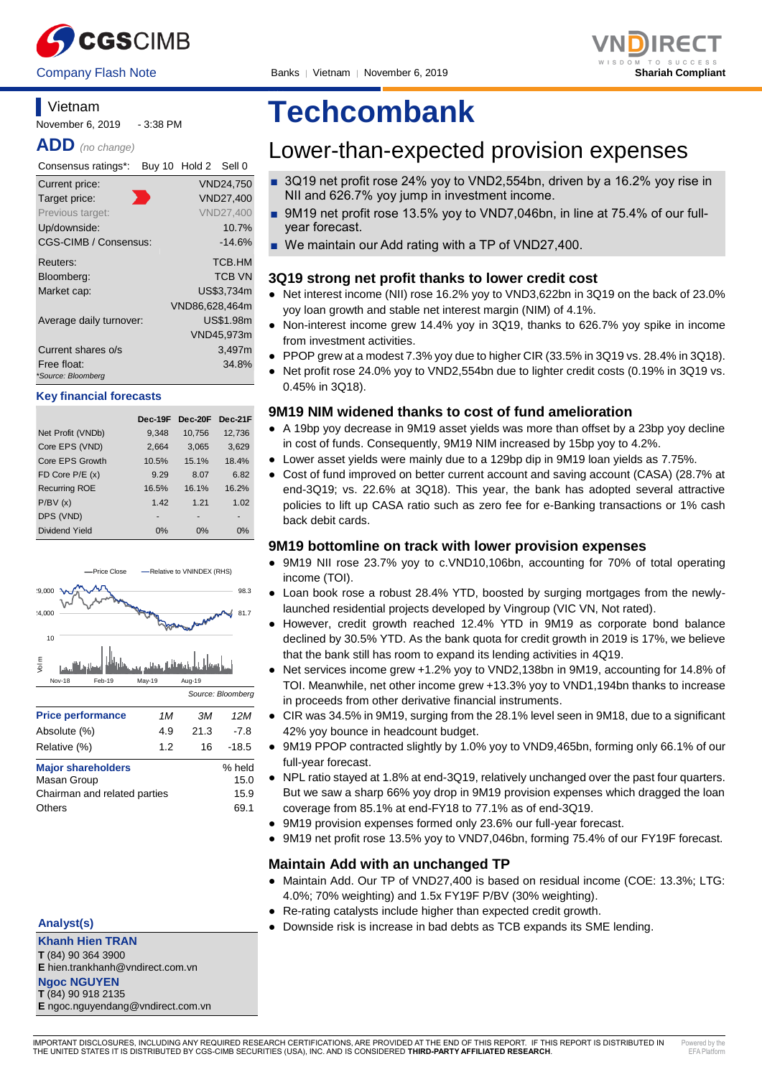



## **Vietnam**

November 6, 2019 - 3:38 PM

**ADD** *(no change)*

| Consensus ratings*:               | Buy 10 Hold 2 Sell 0 |
|-----------------------------------|----------------------|
| Current price:                    | VND24,750            |
| Target price:                     | VND27,400            |
| Previous target:                  | <b>VND27,400</b>     |
| Up/downside:                      | 10.7%                |
| CGS-CIMB / Consensus:             | $-14.6%$             |
| Reuters:                          | TCB.HM               |
| Bloomberg:                        | <b>TCB VN</b>        |
| Market cap:                       | US\$3,734m           |
|                                   | VND86,628,464m       |
| Average daily turnover:           | US\$1.98m            |
|                                   | VND45,973m           |
| Current shares o/s                | 3,497m               |
| Free float:<br>*Source: Bloomberg | 34.8%                |

#### **Key financial forecasts**

|                      | Dec-19F | Dec-20F | Dec-21F |
|----------------------|---------|---------|---------|
| Net Profit (VNDb)    | 9,348   | 10,756  | 12,736  |
| Core EPS (VND)       | 2,664   | 3,065   | 3,629   |
| Core EPS Growth      | 10.5%   | 15.1%   | 18.4%   |
| FD Core $P/E(x)$     | 9.29    | 8.07    | 6.82    |
| <b>Recurring ROE</b> | 16.5%   | 16.1%   | 16.2%   |
| P/BV(x)              | 1.42    | 1.21    | 1.02    |
| DPS (VND)            |         |         |         |
| Dividend Yield       | 0%      | 0%      | 0%      |



**Analyst(s)**

**Khanh Hien TRAN T** (84) 90 364 3900

**E** hien.trankhanh@vndirect.com.vn **Ngoc NGUYEN**

**T** (84) 90 918 2135

**E** ngoc.nguyendang@vndirect.com.vn

# **Techcombank**

## Lower-than-expected provision expenses

- 3Q19 net profit rose 24% yoy to VND2,554bn, driven by a 16.2% yoy rise in NII and 626.7% yoy jump in investment income.
- 9M19 net profit rose 13.5% yoy to VND7,046bn, in line at 75.4% of our fullyear forecast.
- We maintain our Add rating with a TP of VND27,400.

#### **3Q19 strong net profit thanks to lower credit cost**

- Net interest income (NII) rose 16.2% yoy to VND3,622bn in 3Q19 on the back of 23.0% yoy loan growth and stable net interest margin (NIM) of 4.1%.
- Non-interest income grew 14.4% yoy in 3Q19, thanks to 626.7% yoy spike in income from investment activities.
- PPOP grew at a modest 7.3% yoy due to higher CIR (33.5% in 3Q19 vs. 28.4% in 3Q18).
- Net profit rose 24.0% yoy to VND2,554bn due to lighter credit costs (0.19% in 3Q19 vs. 0.45% in 3Q18).

#### **9M19 NIM widened thanks to cost of fund amelioration**

- A 19bp yoy decrease in 9M19 asset yields was more than offset by a 23bp yoy decline in cost of funds. Consequently, 9M19 NIM increased by 15bp yoy to 4.2%.
- Lower asset yields were mainly due to a 129bp dip in 9M19 loan yields as 7.75%.
- Cost of fund improved on better current account and saving account (CASA) (28.7% at end-3Q19; vs. 22.6% at 3Q18). This year, the bank has adopted several attractive policies to lift up CASA ratio such as zero fee for e-Banking transactions or 1% cash back debit cards.

#### **9M19 bottomline on track with lower provision expenses**

- 9M19 NII rose 23.7% yoy to c.VND10,106bn, accounting for 70% of total operating income (TOI).
- Loan book rose a robust 28.4% YTD, boosted by surging mortgages from the newlylaunched residential projects developed by Vingroup (VIC VN, Not rated).
- However, credit growth reached 12.4% YTD in 9M19 as corporate bond balance declined by 30.5% YTD. As the bank quota for credit growth in 2019 is 17%, we believe that the bank still has room to expand its lending activities in 4Q19.
- Net services income grew +1.2% yoy to VND2,138bn in 9M19, accounting for 14.8% of TOI. Meanwhile, net other income grew +13.3% yoy to VND1,194bn thanks to increase in proceeds from other derivative financial instruments.
- CIR was 34.5% in 9M19, surging from the 28.1% level seen in 9M18, due to a significant 42% yoy bounce in headcount budget.
- 9M19 PPOP contracted slightly by 1.0% yoy to VND9,465bn, forming only 66.1% of our full-year forecast.
- NPL ratio stayed at 1.8% at end-3Q19, relatively unchanged over the past four quarters. But we saw a sharp 66% yoy drop in 9M19 provision expenses which dragged the loan coverage from 85.1% at end-FY18 to 77.1% as of end-3Q19.
- 9M19 provision expenses formed only 23.6% our full-year forecast.
- 9M19 net profit rose 13.5% yoy to VND7,046bn, forming 75.4% of our FY19F forecast.

#### **Maintain Add with an unchanged TP**

- Maintain Add. Our TP of VND27,400 is based on residual income (COE: 13.3%; LTG: 4.0%; 70% weighting) and 1.5x FY19F P/BV (30% weighting).
- Re-rating catalysts include higher than expected credit growth.
- Downside risk is increase in bad debts as TCB expands its SME lending.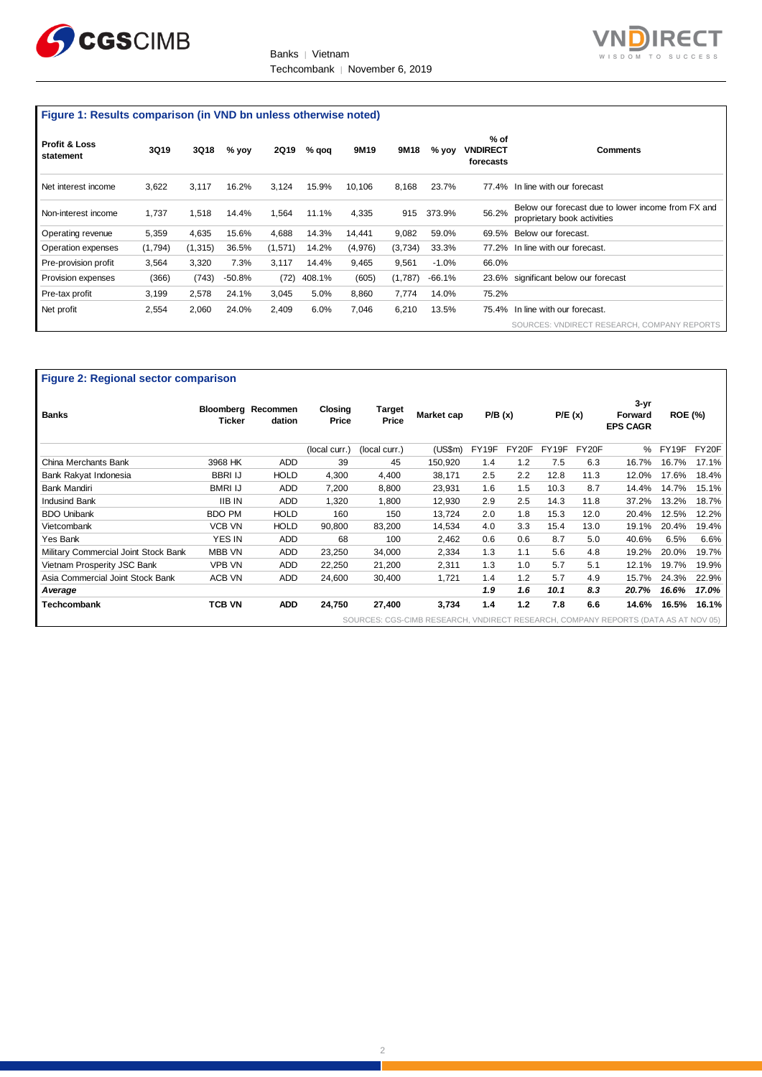

Banks | Vietnam Techcombank | November 6, 2019



### **Figure 1: Results comparison (in VND bn unless otherwise noted)**

| <b>Profit &amp; Loss</b><br>statement | <b>3Q19</b> | 3Q18    | % yoy  | 2Q19    | $%$ qoq | 9M19    | 9M18    | $%$ yoy | $%$ of<br>VNDIRECT<br>forecasts | <b>Comments</b>                                                                   |
|---------------------------------------|-------------|---------|--------|---------|---------|---------|---------|---------|---------------------------------|-----------------------------------------------------------------------------------|
| Net interest income                   | 3,622       | 3.117   | 16.2%  | 3,124   | 15.9%   | 10.106  | 8,168   | 23.7%   |                                 | 77.4% In line with our forecast                                                   |
| Non-interest income                   | 1.737       | 1.518   | 14.4%  | 1.564   | 11.1%   | 4,335   | 915     | 373.9%  | 56.2%                           | Below our forecast due to lower income from FX and<br>proprietary book activities |
| Operating revenue                     | 5,359       | 4,635   | 15.6%  | 4,688   | 14.3%   | 14,441  | 9,082   | 59.0%   | 69.5%                           | Below our forecast.                                                               |
| Operation expenses                    | (1,794)     | (1,315) | 36.5%  | (1,571) | 14.2%   | (4,976) | (3,734) | 33.3%   | 77.2%                           | In line with our forecast.                                                        |
| Pre-provision profit                  | 3,564       | 3.320   | 7.3%   | 3,117   | 14.4%   | 9,465   | 9.561   | $-1.0%$ | 66.0%                           |                                                                                   |
| Provision expenses                    | (366)       | (743)   | -50.8% | (72)    | 408.1%  | (605)   | (1,787) | -66.1%  |                                 | 23.6% significant below our forecast                                              |
| Pre-tax profit                        | 3,199       | 2,578   | 24.1%  | 3,045   | 5.0%    | 8,860   | 7,774   | 14.0%   | 75.2%                           |                                                                                   |
| Net profit                            | 2,554       | 2,060   | 24.0%  | 2,409   | 6.0%    | 7,046   | 6,210   | 13.5%   |                                 | 75.4% In line with our forecast.                                                  |
|                                       |             |         |        |         |         |         |         |         |                                 | SOURCES: VNDIRECT RESEARCH, COMPANY REPORTS                                       |

#### **Figure 2: Regional sector comparison**

| <b>Banks</b>                         | Ticker         | Bloomberg Recommen<br>dation | Closing<br>Price | Target<br>Price | Market cap                                                                         | P/B(x) |       | P/E(x) |       | $3 - yr$<br>Forward<br><b>EPS CAGR</b> | <b>ROE (%)</b> |       |
|--------------------------------------|----------------|------------------------------|------------------|-----------------|------------------------------------------------------------------------------------|--------|-------|--------|-------|----------------------------------------|----------------|-------|
|                                      |                |                              | (local curr.)    | (local curr.)   | (US\$m)                                                                            | FY19F  | FY20F | FY19F  | FY20F | %                                      | FY19F          | FY20F |
| China Merchants Bank                 | 3968 HK        | <b>ADD</b>                   | 39               | 45              | 150,920                                                                            | 1.4    | 1.2   | 7.5    | 6.3   | 16.7%                                  | 16.7%          | 17.1% |
| Bank Rakyat Indonesia                | <b>BBRI IJ</b> | <b>HOLD</b>                  | 4,300            | 4.400           | 38,171                                                                             | 2.5    | 2.2   | 12.8   | 11.3  | 12.0%                                  | 17.6%          | 18.4% |
| <b>Bank Mandiri</b>                  | <b>BMRI IJ</b> | <b>ADD</b>                   | 7,200            | 8.800           | 23,931                                                                             | 1.6    | 1.5   | 10.3   | 8.7   | 14.4%                                  | 14.7%          | 15.1% |
| <b>Indusind Bank</b>                 | <b>IIB IN</b>  | <b>ADD</b>                   | 1,320            | 1,800           | 12,930                                                                             | 2.9    | 2.5   | 14.3   | 11.8  | 37.2%                                  | 13.2%          | 18.7% |
| <b>BDO Unibank</b>                   | <b>BDO PM</b>  | <b>HOLD</b>                  | 160              | 150             | 13,724                                                                             | 2.0    | 1.8   | 15.3   | 12.0  | 20.4%                                  | 12.5%          | 12.2% |
| Vietcombank                          | <b>VCB VN</b>  | <b>HOLD</b>                  | 90,800           | 83,200          | 14,534                                                                             | 4.0    | 3.3   | 15.4   | 13.0  | 19.1%                                  | 20.4%          | 19.4% |
| Yes Bank                             | YES IN         | <b>ADD</b>                   | 68               | 100             | 2,462                                                                              | 0.6    | 0.6   | 8.7    | 5.0   | 40.6%                                  | 6.5%           | 6.6%  |
| Military Commercial Joint Stock Bank | MBB VN         | <b>ADD</b>                   | 23,250           | 34,000          | 2,334                                                                              | 1.3    | 1.1   | 5.6    | 4.8   | 19.2%                                  | 20.0%          | 19.7% |
| Vietnam Prosperity JSC Bank          | <b>VPB VN</b>  | <b>ADD</b>                   | 22,250           | 21,200          | 2,311                                                                              | 1.3    | 1.0   | 5.7    | 5.1   | 12.1%                                  | 19.7%          | 19.9% |
| Asia Commercial Joint Stock Bank     | ACB VN         | <b>ADD</b>                   | 24,600           | 30,400          | 1,721                                                                              | 1.4    | 1.2   | 5.7    | 4.9   | 15.7%                                  | 24.3%          | 22.9% |
| <b>Average</b>                       |                |                              |                  |                 |                                                                                    | 1.9    | 1.6   | 10.1   | 8.3   | 20.7%                                  | 16.6%          | 17.0% |
| Techcombank                          | <b>TCB VN</b>  | <b>ADD</b>                   | 24,750           | 27,400          | 3,734                                                                              | 1.4    | 1.2   | 7.8    | 6.6   | 14.6%                                  | 16.5%          | 16.1% |
|                                      |                |                              |                  |                 | SOURCES: CGS-CIMB RESEARCH, VNDIRECT RESEARCH, COMPANY REPORTS (DATA AS AT NOV 05) |        |       |        |       |                                        |                |       |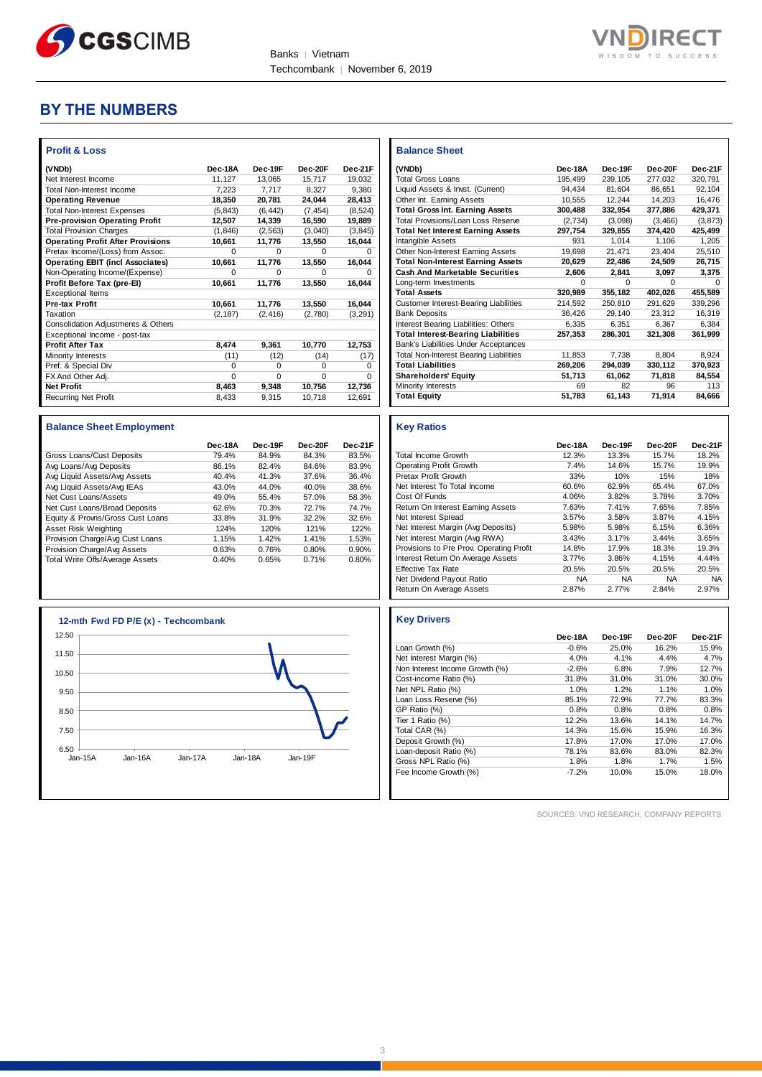



### **BY THE NUMBERS**

| <b>Profit &amp; Loss</b>                 |          |          |          |          |
|------------------------------------------|----------|----------|----------|----------|
| (VNDb)                                   | Dec-18A  | Dec-19F  | Dec-20F  | Dec-21F  |
| Net Interest Income                      | 11,127   | 13.065   | 15.717   | 19.032   |
| <b>Total Non-Interest Income</b>         | 7,223    | 7,717    | 8.327    | 9,380    |
| <b>Operating Revenue</b>                 | 18,350   | 20,781   | 24,044   | 28,413   |
| <b>Total Non-Interest Expenses</b>       | (5.843)  | (6, 442) | (7.454)  | (8,524)  |
| <b>Pre-provision Operating Profit</b>    | 12.507   | 14,339   | 16,590   | 19,889   |
| <b>Total Provision Charges</b>           | (1, 846) | (2, 563) | (3,040)  | (3, 845) |
| <b>Operating Profit After Provisions</b> | 10,661   | 11,776   | 13,550   | 16,044   |
| Pretax Income/(Loss) from Assoc.         | $\Omega$ | O        | O        | o        |
| <b>Operating EBIT (incl Associates)</b>  | 10,661   | 11,776   | 13,550   | 16,044   |
| Non-Operating Income/(Expense)           | $\Omega$ | 0        | O        | o        |
| Profit Before Tax (pre-El)               | 10,661   | 11,776   | 13,550   | 16,044   |
| <b>Exceptional Items</b>                 |          |          |          |          |
| <b>Pre-tax Profit</b>                    | 10,661   | 11,776   | 13,550   | 16,044   |
| Taxation                                 | (2, 187) | (2, 416) | (2,780)  | (3,291)  |
| Consolidation Adjustments & Others       |          |          |          |          |
| Exceptional Income - post-tax            |          |          |          |          |
| <b>Profit After Tax</b>                  | 8,474    | 9,361    | 10,770   | 12,753   |
| Minority Interests                       | (11)     | (12)     | (14)     | (17)     |
| Pref. & Special Div                      | $\Omega$ | 0        | 0        | 0        |
| FX And Other Adj.                        | $\Omega$ | $\Omega$ | $\Omega$ | $\Omega$ |
| <b>Net Profit</b>                        | 8,463    | 9,348    | 10,756   | 12,736   |
| <b>Recurring Net Profit</b>              | 8,433    | 9,315    | 10,718   | 12,691   |

#### **Balance Sheet Employment**

|                                  | Dec-18A | Dec-19F | Dec-20F | Dec-21F |
|----------------------------------|---------|---------|---------|---------|
| Gross Loans/Cust Deposits        | 79.4%   | 84.9%   | 84.3%   | 83.5%   |
| Avg Loans/Avg Deposits           | 86.1%   | 82.4%   | 84.6%   | 83.9%   |
| Avg Liquid Assets/Avg Assets     | 40.4%   | 41.3%   | 37.6%   | 36.4%   |
| Avg Liquid Assets/Avg IEAs       | 43.0%   | 44.0%   | 40.0%   | 38.6%   |
| Net Cust Loans/Assets            | 49.0%   | 55.4%   | 57.0%   | 58.3%   |
| Net Cust Loans/Broad Deposits    | 62.6%   | 70.3%   | 72.7%   | 74.7%   |
| Equity & Provns/Gross Cust Loans | 33.8%   | 31.9%   | 32.2%   | 32.6%   |
| Asset Risk Weighting             | 124%    | 120%    | 121%    | 122%    |
| Provision Charge/Avg Cust Loans  | 1.15%   | 1.42%   | 1.41%   | 1.53%   |
| Provision Charge/Avg Assets      | 0.63%   | 0.76%   | 0.80%   | 0.90%   |
| Total Write Offs/Average Assets  | 0.40%   | 0.65%   | 0.71%   | 0.80%   |



| <b>Balance Sheet</b>                          |         |              |         |          |
|-----------------------------------------------|---------|--------------|---------|----------|
| (VNDb)                                        | Dec-18A | Dec-19F      | Dec-20F | Dec-21F  |
| <b>Total Gross Loans</b>                      | 195,499 | 239.105      | 277,032 | 320.791  |
| Liquid Assets & Invst. (Current)              | 94.434  | 81.604       | 86.651  | 92.104   |
| Other Int. Earning Assets                     | 10.555  | 12.244       | 14.203  | 16.476   |
| <b>Total Gross Int. Earning Assets</b>        | 300,488 | 332.954      | 377.886 | 429.371  |
| Total Provisions/Loan Loss Reserve            | (2.734) | (3.098)      | (3.466) | (3.873)  |
| <b>Total Net Interest Earning Assets</b>      | 297,754 | 329.855      | 374.420 | 425,499  |
| Intangible Assets                             | 931     | 1.014        | 1.106   | 1.205    |
| Other Non-Interest Earning Assets             | 19.698  | 21,471       | 23.404  | 25,510   |
| <b>Total Non-Interest Earning Assets</b>      | 20,629  | 22.486       | 24,509  | 26.715   |
| <b>Cash And Marketable Securities</b>         | 2,606   | 2.841        | 3.097   | 3,375    |
| Long-term Investments                         | 0       | <sup>0</sup> | O       | $\Omega$ |
| <b>Total Assets</b>                           | 320.989 | 355,182      | 402.026 | 455.589  |
| <b>Customer Interest-Bearing Liabilities</b>  | 214,592 | 250,810      | 291,629 | 339,296  |
| <b>Bank Deposits</b>                          | 36.426  | 29.140       | 23.312  | 16.319   |
| Interest Bearing Liabilities: Others          | 6,335   | 6.351        | 6.367   | 6.384    |
| <b>Total Interest-Bearing Liabilities</b>     | 257,353 | 286.301      | 321,308 | 361.999  |
| <b>Bank's Liabilities Under Acceptances</b>   |         |              |         |          |
| <b>Total Non-Interest Bearing Liabilities</b> | 11,853  | 7,738        | 8,804   | 8.924    |
| <b>Total Liabilities</b>                      | 269,206 | 294,039      | 330,112 | 370,923  |
| <b>Shareholders' Equity</b>                   | 51,713  | 61,062       | 71.818  | 84,554   |
| Minority Interests                            | 69      | 82           | 96      | 113      |
| <b>Total Equity</b>                           | 51,783  | 61,143       | 71,914  | 84.666   |

#### **Key Ratios**

|                                          | Dec-18A   | Dec-19F   | Dec-20F   | Dec-21F   |
|------------------------------------------|-----------|-----------|-----------|-----------|
| <b>Total Income Growth</b>               | 12.3%     | 13.3%     | 15.7%     | 18.2%     |
| <b>Operating Profit Growth</b>           | 7.4%      | 14.6%     | 15.7%     | 19.9%     |
| Pretax Profit Growth                     | 33%       | 10%       | 15%       | 18%       |
| Net Interest To Total Income             | 60.6%     | 62.9%     | 65.4%     | 67.0%     |
| Cost Of Funds                            | 4.06%     | 3.82%     | 3.78%     | 3.70%     |
| Return On Interest Earning Assets        | 7.63%     | 7.41%     | 7.65%     | 7.85%     |
| Net Interest Spread                      | 3.57%     | 3.58%     | 3.87%     | 4.15%     |
| Net Interest Margin (Avg Deposits)       | 5.98%     | 5.98%     | 6.15%     | 6.36%     |
| Net Interest Margin (Avg RWA)            | 3.43%     | 3.17%     | 3.44%     | 3.65%     |
| Provisions to Pre Prov. Operating Profit | 14.8%     | 17.9%     | 18.3%     | 19.3%     |
| Interest Return On Average Assets        | 3.77%     | 3.86%     | 4.15%     | 4.44%     |
| <b>Effective Tax Rate</b>                | 20.5%     | 20.5%     | 20.5%     | 20.5%     |
| Net Dividend Payout Ratio                | <b>NA</b> | <b>NA</b> | <b>NA</b> | <b>NA</b> |
| Return On Average Assets                 | 2.87%     | 2.77%     | 2.84%     | 2.97%     |

|                                | Dec-18A | Dec-19F | Dec-20F | Dec-21F |
|--------------------------------|---------|---------|---------|---------|
| Loan Growth (%)                | $-0.6%$ | 25.0%   | 16.2%   | 15.9%   |
| Net Interest Margin (%)        | 4.0%    | 4.1%    | 4.4%    | 4.7%    |
| Non Interest Income Growth (%) | $-2.6%$ | 6.8%    | 7.9%    | 12.7%   |
| Cost-income Ratio (%)          | 31.8%   | 31.0%   | 31.0%   | 30.0%   |
| Net NPL Ratio (%)              | 1.0%    | 1.2%    | 1.1%    | 1.0%    |
| Loan Loss Reserve (%)          | 85.1%   | 72.9%   | 77.7%   | 83.3%   |
| GP Ratio (%)                   | 0.8%    | 0.8%    | 0.8%    | 0.8%    |
| Tier 1 Ratio (%)               | 12.2%   | 13.6%   | 14.1%   | 14.7%   |
| Total CAR (%)                  | 14.3%   | 15.6%   | 15.9%   | 16.3%   |
| Deposit Growth (%)             | 17.8%   | 17.0%   | 17.0%   | 17.0%   |
| Loan-deposit Ratio (%)         | 78.1%   | 83.6%   | 83.0%   | 82.3%   |
| Gross NPL Ratio (%)            | 1.8%    | 1.8%    | 1.7%    | 1.5%    |
| Fee Income Growth (%)          | $-7.2%$ | 10.0%   | 15.0%   | 18.0%   |

SOURCES: VND RESEARCH, COMPANY REPORTS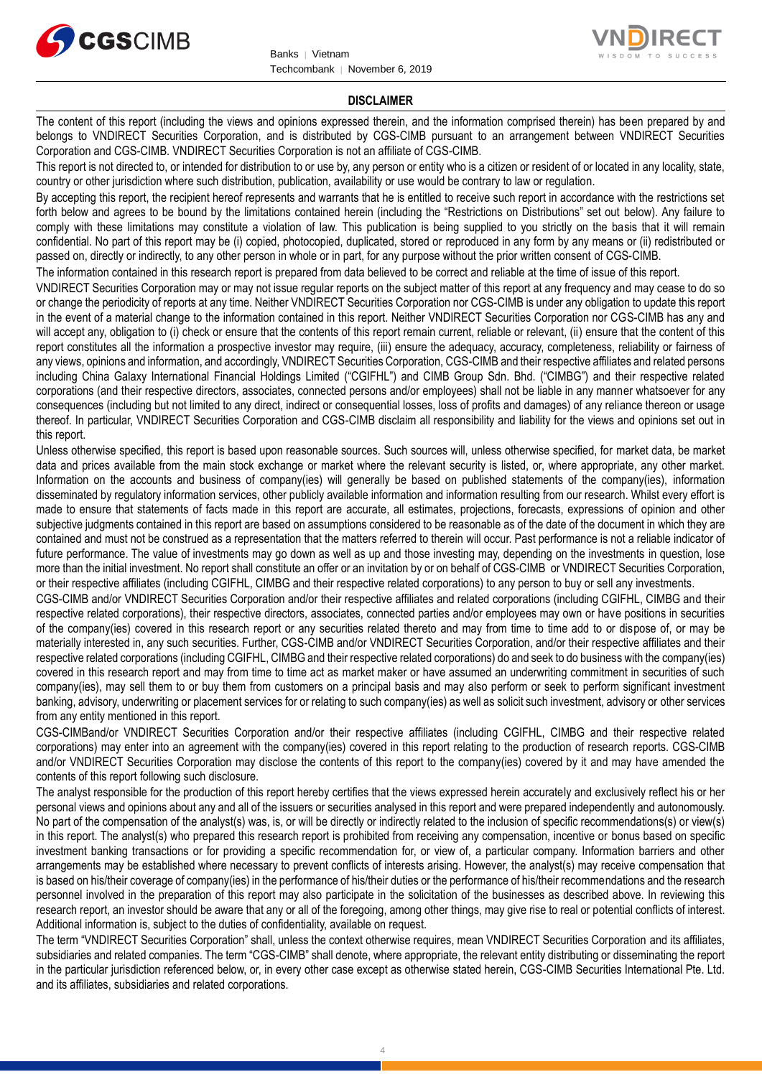



#### **DISCLAIMER**

The content of this report (including the views and opinions expressed therein, and the information comprised therein) has been prepared by and belongs to VNDIRECT Securities Corporation, and is distributed by CGS-CIMB pursuant to an arrangement between VNDIRECT Securities Corporation and CGS-CIMB. VNDIRECT Securities Corporation is not an affiliate of CGS-CIMB.

This report is not directed to, or intended for distribution to or use by, any person or entity who is a citizen or resident of or located in any locality, state, country or other jurisdiction where such distribution, publication, availability or use would be contrary to law or regulation.

By accepting this report, the recipient hereof represents and warrants that he is entitled to receive such report in accordance with the restrictions set forth below and agrees to be bound by the limitations contained herein (including the "Restrictions on Distributions" set out below). Any failure to comply with these limitations may constitute a violation of law. This publication is being supplied to you strictly on the basis that it will remain confidential. No part of this report may be (i) copied, photocopied, duplicated, stored or reproduced in any form by any means or (ii) redistributed or passed on, directly or indirectly, to any other person in whole or in part, for any purpose without the prior written consent of CGS-CIMB.

The information contained in this research report is prepared from data believed to be correct and reliable at the time of issue of this report.

VNDIRECT Securities Corporation may or may not issue regular reports on the subject matter of this report at any frequency and may cease to do so or change the periodicity of reports at any time. Neither VNDIRECT Securities Corporation nor CGS-CIMB is under any obligation to update this report in the event of a material change to the information contained in this report. Neither VNDIRECT Securities Corporation nor CGS-CIMB has any and will accept any, obligation to (i) check or ensure that the contents of this report remain current, reliable or relevant, (ii) ensure that the content of this report constitutes all the information a prospective investor may require, (iii) ensure the adequacy, accuracy, completeness, reliability or fairness of any views, opinions and information, and accordingly, VNDIRECT Securities Corporation, CGS-CIMB and their respective affiliates and related persons including China Galaxy International Financial Holdings Limited ("CGIFHL") and CIMB Group Sdn. Bhd. ("CIMBG") and their respective related corporations (and their respective directors, associates, connected persons and/or employees) shall not be liable in any manner whatsoever for any consequences (including but not limited to any direct, indirect or consequential losses, loss of profits and damages) of any reliance thereon or usage thereof. In particular, VNDIRECT Securities Corporation and CGS-CIMB disclaim all responsibility and liability for the views and opinions set out in this report.

Unless otherwise specified, this report is based upon reasonable sources. Such sources will, unless otherwise specified, for market data, be market data and prices available from the main stock exchange or market where the relevant security is listed, or, where appropriate, any other market. Information on the accounts and business of company(ies) will generally be based on published statements of the company(ies), information disseminated by regulatory information services, other publicly available information and information resulting from our research. Whilst every effort is made to ensure that statements of facts made in this report are accurate, all estimates, projections, forecasts, expressions of opinion and other subjective judgments contained in this report are based on assumptions considered to be reasonable as of the date of the document in which they are contained and must not be construed as a representation that the matters referred to therein will occur. Past performance is not a reliable indicator of future performance. The value of investments may go down as well as up and those investing may, depending on the investments in question, lose more than the initial investment. No report shall constitute an offer or an invitation by or on behalf of CGS-CIMB or VNDIRECT Securities Corporation, or their respective affiliates (including CGIFHL, CIMBG and their respective related corporations) to any person to buy or sell any investments.

CGS-CIMB and/or VNDIRECT Securities Corporation and/or their respective affiliates and related corporations (including CGIFHL, CIMBG and their respective related corporations), their respective directors, associates, connected parties and/or employees may own or have positions in securities of the company(ies) covered in this research report or any securities related thereto and may from time to time add to or dispose of, or may be materially interested in, any such securities. Further, CGS-CIMB and/or VNDIRECT Securities Corporation, and/or their respective affiliates and their respective related corporations (including CGIFHL, CIMBG and their respective related corporations) do and seek to do business with the company(ies) covered in this research report and may from time to time act as market maker or have assumed an underwriting commitment in securities of such company(ies), may sell them to or buy them from customers on a principal basis and may also perform or seek to perform significant investment banking, advisory, underwriting or placement services for or relating to such company(ies) as well as solicit such investment, advisory or other services from any entity mentioned in this report.

CGS-CIMBand/or VNDIRECT Securities Corporation and/or their respective affiliates (including CGIFHL, CIMBG and their respective related corporations) may enter into an agreement with the company(ies) covered in this report relating to the production of research reports. CGS-CIMB and/or VNDIRECT Securities Corporation may disclose the contents of this report to the company(ies) covered by it and may have amended the contents of this report following such disclosure.

The analyst responsible for the production of this report hereby certifies that the views expressed herein accurately and exclusively reflect his or her personal views and opinions about any and all of the issuers or securities analysed in this report and were prepared independently and autonomously. No part of the compensation of the analyst(s) was, is, or will be directly or indirectly related to the inclusion of specific recommendations(s) or view(s) in this report. The analyst(s) who prepared this research report is prohibited from receiving any compensation, incentive or bonus based on specific investment banking transactions or for providing a specific recommendation for, or view of, a particular company. Information barriers and other arrangements may be established where necessary to prevent conflicts of interests arising. However, the analyst(s) may receive compensation that is based on his/their coverage of company(ies) in the performance of his/their duties or the performance of his/their recommendations and the research personnel involved in the preparation of this report may also participate in the solicitation of the businesses as described above. In reviewing this research report, an investor should be aware that any or all of the foregoing, among other things, may give rise to real or potential conflicts of interest. Additional information is, subject to the duties of confidentiality, available on request.

The term "VNDIRECT Securities Corporation" shall, unless the context otherwise requires, mean VNDIRECT Securities Corporation and its affiliates, subsidiaries and related companies. The term "CGS-CIMB" shall denote, where appropriate, the relevant entity distributing or disseminating the report in the particular jurisdiction referenced below, or, in every other case except as otherwise stated herein, CGS-CIMB Securities International Pte. Ltd. and its affiliates, subsidiaries and related corporations.

4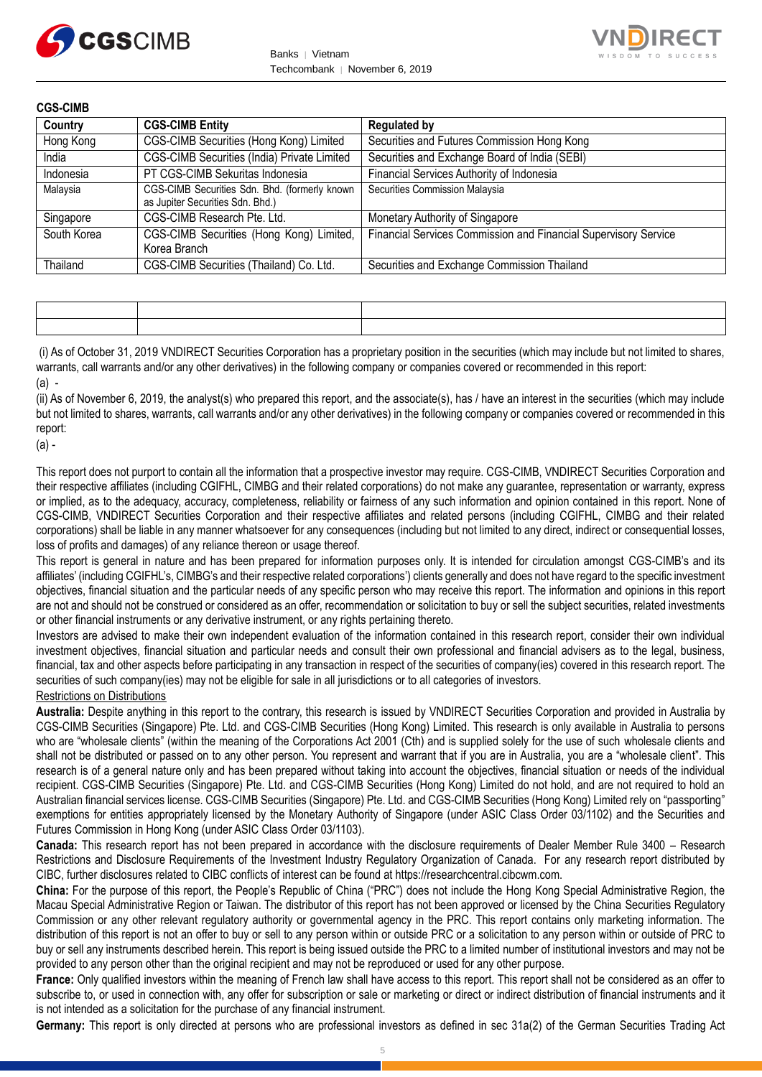



| <b>CGS-CIMB</b> |                                                                                   |                                                                 |
|-----------------|-----------------------------------------------------------------------------------|-----------------------------------------------------------------|
| Country         | <b>CGS-CIMB Entity</b>                                                            | <b>Regulated by</b>                                             |
| Hong Kong       | CGS-CIMB Securities (Hong Kong) Limited                                           | Securities and Futures Commission Hong Kong                     |
| India           | CGS-CIMB Securities (India) Private Limited                                       | Securities and Exchange Board of India (SEBI)                   |
| Indonesia       | PT CGS-CIMB Sekuritas Indonesia                                                   | Financial Services Authority of Indonesia                       |
| Malaysia        | CGS-CIMB Securities Sdn. Bhd. (formerly known<br>as Jupiter Securities Sdn. Bhd.) | Securities Commission Malaysia                                  |
| Singapore       | CGS-CIMB Research Pte. Ltd.                                                       | Monetary Authority of Singapore                                 |
| South Korea     | CGS-CIMB Securities (Hong Kong) Limited,<br>Korea Branch                          | Financial Services Commission and Financial Supervisory Service |
| Thailand        | CGS-CIMB Securities (Thailand) Co. Ltd.                                           | Securities and Exchange Commission Thailand                     |

(i) As of October 31, 2019 VNDIRECT Securities Corporation has a proprietary position in the securities (which may include but not limited to shares, warrants, call warrants and/or any other derivatives) in the following company or companies covered or recommended in this report: (a) -

(ii) As of November 6, 2019, the analyst(s) who prepared this report, and the associate(s), has / have an interest in the securities (which may include but not limited to shares, warrants, call warrants and/or any other derivatives) in the following company or companies covered or recommended in this report:

(a) -

This report does not purport to contain all the information that a prospective investor may require. CGS-CIMB, VNDIRECT Securities Corporation and their respective affiliates (including CGIFHL, CIMBG and their related corporations) do not make any guarantee, representation or warranty, express or implied, as to the adequacy, accuracy, completeness, reliability or fairness of any such information and opinion contained in this report. None of CGS-CIMB, VNDIRECT Securities Corporation and their respective affiliates and related persons (including CGIFHL, CIMBG and their related corporations) shall be liable in any manner whatsoever for any consequences (including but not limited to any direct, indirect or consequential losses, loss of profits and damages) of any reliance thereon or usage thereof.

This report is general in nature and has been prepared for information purposes only. It is intended for circulation amongst CGS-CIMB's and its affiliates' (including CGIFHL's, CIMBG's and their respective related corporations') clients generally and does not have regard to the specific investment objectives, financial situation and the particular needs of any specific person who may receive this report. The information and opinions in this report are not and should not be construed or considered as an offer, recommendation or solicitation to buy or sell the subject securities, related investments or other financial instruments or any derivative instrument, or any rights pertaining thereto.

Investors are advised to make their own independent evaluation of the information contained in this research report, consider their own individual investment objectives, financial situation and particular needs and consult their own professional and financial advisers as to the legal, business, financial, tax and other aspects before participating in any transaction in respect of the securities of company(ies) covered in this research report. The securities of such company(ies) may not be eligible for sale in all jurisdictions or to all categories of investors.

#### Restrictions on Distributions

**Australia:** Despite anything in this report to the contrary, this research is issued by VNDIRECT Securities Corporation and provided in Australia by CGS-CIMB Securities (Singapore) Pte. Ltd. and CGS-CIMB Securities (Hong Kong) Limited. This research is only available in Australia to persons who are "wholesale clients" (within the meaning of the Corporations Act 2001 (Cth) and is supplied solely for the use of such wholesale clients and shall not be distributed or passed on to any other person. You represent and warrant that if you are in Australia, you are a "wholesale client". This research is of a general nature only and has been prepared without taking into account the objectives, financial situation or needs of the individual recipient. CGS-CIMB Securities (Singapore) Pte. Ltd. and CGS-CIMB Securities (Hong Kong) Limited do not hold, and are not required to hold an Australian financial services license. CGS-CIMB Securities (Singapore) Pte. Ltd. and CGS-CIMB Securities (Hong Kong) Limited rely on "passporting" exemptions for entities appropriately licensed by the Monetary Authority of Singapore (under ASIC Class Order 03/1102) and the Securities and Futures Commission in Hong Kong (under ASIC Class Order 03/1103).

**Canada:** This research report has not been prepared in accordance with the disclosure requirements of Dealer Member Rule 3400 – Research Restrictions and Disclosure Requirements of the Investment Industry Regulatory Organization of Canada. For any research report distributed by CIBC, further disclosures related to CIBC conflicts of interest can be found at https://researchcentral.cibcwm.com.

**China:** For the purpose of this report, the People's Republic of China ("PRC") does not include the Hong Kong Special Administrative Region, the Macau Special Administrative Region or Taiwan. The distributor of this report has not been approved or licensed by the China Securities Regulatory Commission or any other relevant regulatory authority or governmental agency in the PRC. This report contains only marketing information. The distribution of this report is not an offer to buy or sell to any person within or outside PRC or a solicitation to any person within or outside of PRC to buy or sell any instruments described herein. This report is being issued outside the PRC to a limited number of institutional investors and may not be provided to any person other than the original recipient and may not be reproduced or used for any other purpose.

**France:** Only qualified investors within the meaning of French law shall have access to this report. This report shall not be considered as an offer to subscribe to, or used in connection with, any offer for subscription or sale or marketing or direct or indirect distribution of financial instruments and it is not intended as a solicitation for the purchase of any financial instrument.

**Germany:** This report is only directed at persons who are professional investors as defined in sec 31a(2) of the German Securities Trading Act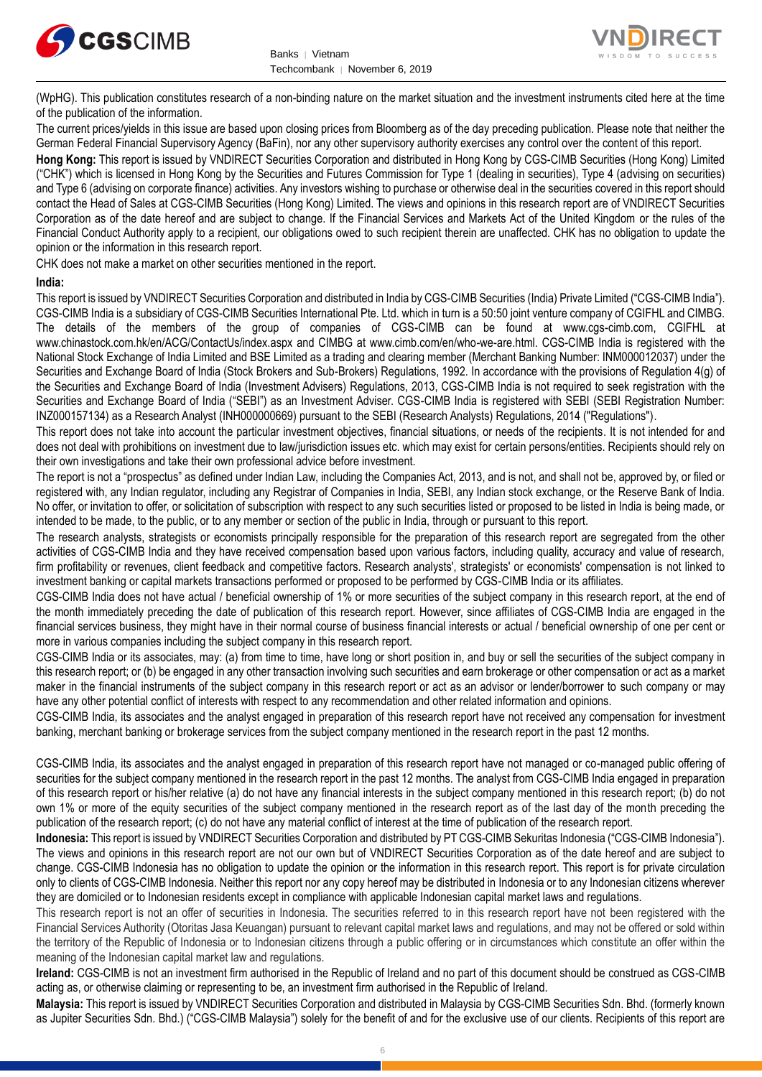



(WpHG). This publication constitutes research of a non-binding nature on the market situation and the investment instruments cited here at the time of the publication of the information.

The current prices/yields in this issue are based upon closing prices from Bloomberg as of the day preceding publication. Please note that neither the German Federal Financial Supervisory Agency (BaFin), nor any other supervisory authority exercises any control over the content of this report.

**Hong Kong:** This report is issued by VNDIRECT Securities Corporation and distributed in Hong Kong by CGS-CIMB Securities (Hong Kong) Limited ("CHK") which is licensed in Hong Kong by the Securities and Futures Commission for Type 1 (dealing in securities), Type 4 (advising on securities) and Type 6 (advising on corporate finance) activities. Any investors wishing to purchase or otherwise deal in the securities covered in this report should contact the Head of Sales at CGS-CIMB Securities (Hong Kong) Limited. The views and opinions in this research report are of VNDIRECT Securities Corporation as of the date hereof and are subject to change. If the Financial Services and Markets Act of the United Kingdom or the rules of the Financial Conduct Authority apply to a recipient, our obligations owed to such recipient therein are unaffected. CHK has no obligation to update the opinion or the information in this research report.

CHK does not make a market on other securities mentioned in the report.

#### **India:**

This report is issued by VNDIRECT Securities Corporation and distributed in India by CGS-CIMB Securities (India) Private Limited ("CGS-CIMB India"). CGS-CIMB India is a subsidiary of CGS-CIMB Securities International Pte. Ltd. which in turn is a 50:50 joint venture company of CGIFHL and CIMBG. The details of the members of the group of companies of CGS-CIMB can be found at www.cgs-cimb.com, CGIFHL at www.chinastock.com.hk/en/ACG/ContactUs/index.aspx and CIMBG at www.cimb.com/en/who-we-are.html. CGS-CIMB India is registered with the National Stock Exchange of India Limited and BSE Limited as a trading and clearing member (Merchant Banking Number: INM000012037) under the Securities and Exchange Board of India (Stock Brokers and Sub-Brokers) Regulations, 1992. In accordance with the provisions of Regulation 4(g) of the Securities and Exchange Board of India (Investment Advisers) Regulations, 2013, CGS-CIMB India is not required to seek registration with the Securities and Exchange Board of India ("SEBI") as an Investment Adviser. CGS-CIMB India is registered with SEBI (SEBI Registration Number: INZ000157134) as a Research Analyst (INH000000669) pursuant to the SEBI (Research Analysts) Regulations, 2014 ("Regulations").

This report does not take into account the particular investment objectives, financial situations, or needs of the recipients. It is not intended for and does not deal with prohibitions on investment due to law/jurisdiction issues etc. which may exist for certain persons/entities. Recipients should rely on their own investigations and take their own professional advice before investment.

The report is not a "prospectus" as defined under Indian Law, including the Companies Act, 2013, and is not, and shall not be, approved by, or filed or registered with, any Indian regulator, including any Registrar of Companies in India, SEBI, any Indian stock exchange, or the Reserve Bank of India. No offer, or invitation to offer, or solicitation of subscription with respect to any such securities listed or proposed to be listed in India is being made, or intended to be made, to the public, or to any member or section of the public in India, through or pursuant to this report.

The research analysts, strategists or economists principally responsible for the preparation of this research report are segregated from the other activities of CGS-CIMB India and they have received compensation based upon various factors, including quality, accuracy and value of research, firm profitability or revenues, client feedback and competitive factors. Research analysts', strategists' or economists' compensation is not linked to investment banking or capital markets transactions performed or proposed to be performed by CGS-CIMB India or its affiliates.

CGS-CIMB India does not have actual / beneficial ownership of 1% or more securities of the subject company in this research report, at the end of the month immediately preceding the date of publication of this research report. However, since affiliates of CGS-CIMB India are engaged in the financial services business, they might have in their normal course of business financial interests or actual / beneficial ownership of one per cent or more in various companies including the subject company in this research report.

CGS-CIMB India or its associates, may: (a) from time to time, have long or short position in, and buy or sell the securities of the subject company in this research report; or (b) be engaged in any other transaction involving such securities and earn brokerage or other compensation or act as a market maker in the financial instruments of the subject company in this research report or act as an advisor or lender/borrower to such company or may have any other potential conflict of interests with respect to any recommendation and other related information and opinions.

CGS-CIMB India, its associates and the analyst engaged in preparation of this research report have not received any compensation for investment banking, merchant banking or brokerage services from the subject company mentioned in the research report in the past 12 months.

CGS-CIMB India, its associates and the analyst engaged in preparation of this research report have not managed or co-managed public offering of securities for the subject company mentioned in the research report in the past 12 months. The analyst from CGS-CIMB India engaged in preparation of this research report or his/her relative (a) do not have any financial interests in the subject company mentioned in this research report; (b) do not own 1% or more of the equity securities of the subject company mentioned in the research report as of the last day of the month preceding the publication of the research report; (c) do not have any material conflict of interest at the time of publication of the research report.

**Indonesia:** This report is issued by VNDIRECT Securities Corporation and distributed by PT CGS-CIMB Sekuritas Indonesia ("CGS-CIMB Indonesia"). The views and opinions in this research report are not our own but of VNDIRECT Securities Corporation as of the date hereof and are subject to change. CGS-CIMB Indonesia has no obligation to update the opinion or the information in this research report. This report is for private circulation only to clients of CGS-CIMB Indonesia. Neither this report nor any copy hereof may be distributed in Indonesia or to any Indonesian citizens wherever they are domiciled or to Indonesian residents except in compliance with applicable Indonesian capital market laws and regulations.

This research report is not an offer of securities in Indonesia. The securities referred to in this research report have not been registered with the Financial Services Authority (Otoritas Jasa Keuangan) pursuant to relevant capital market laws and regulations, and may not be offered or sold within the territory of the Republic of Indonesia or to Indonesian citizens through a public offering or in circumstances which constitute an offer within the meaning of the Indonesian capital market law and regulations.

**Ireland:** CGS-CIMB is not an investment firm authorised in the Republic of Ireland and no part of this document should be construed as CGS-CIMB acting as, or otherwise claiming or representing to be, an investment firm authorised in the Republic of Ireland.

**Malaysia:** This report is issued by VNDIRECT Securities Corporation and distributed in Malaysia by CGS-CIMB Securities Sdn. Bhd. (formerly known as Jupiter Securities Sdn. Bhd.) ("CGS-CIMB Malaysia") solely for the benefit of and for the exclusive use of our clients. Recipients of this report are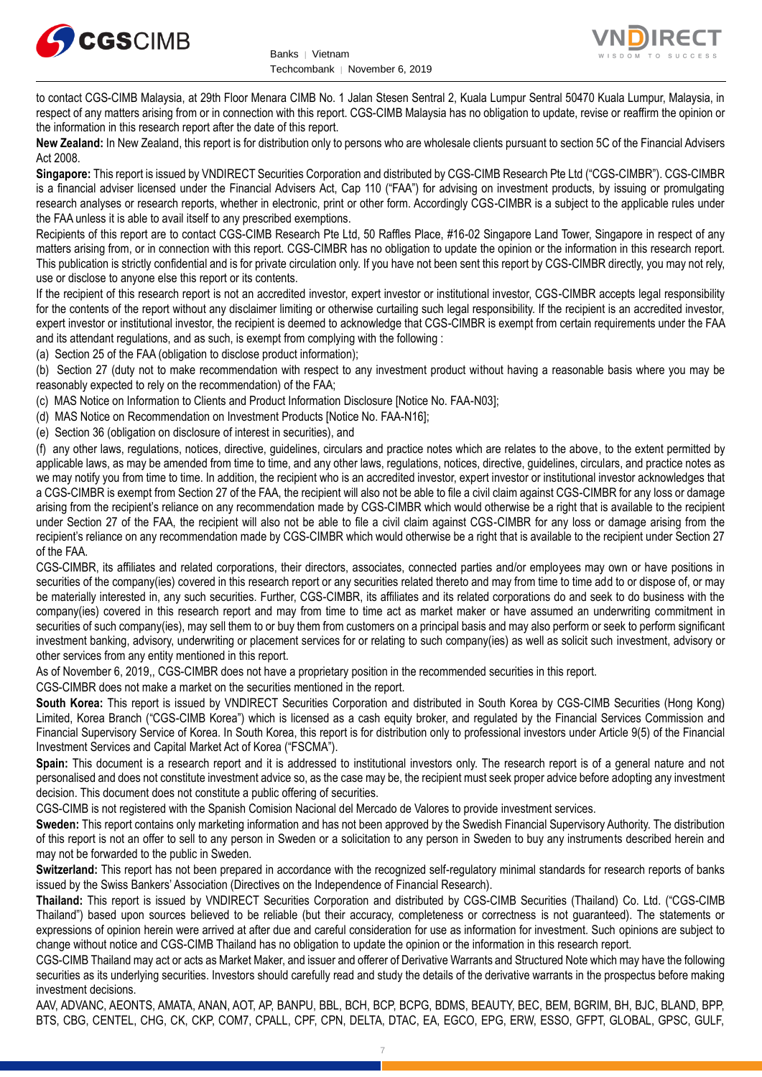



to contact CGS-CIMB Malaysia, at 29th Floor Menara CIMB No. 1 Jalan Stesen Sentral 2, Kuala Lumpur Sentral 50470 Kuala Lumpur, Malaysia, in respect of any matters arising from or in connection with this report. CGS-CIMB Malaysia has no obligation to update, revise or reaffirm the opinion or the information in this research report after the date of this report.

**New Zealand:** In New Zealand, this report is for distribution only to persons who are wholesale clients pursuant to section 5C of the Financial Advisers Act 2008.

**Singapore:** This report is issued by VNDIRECT Securities Corporation and distributed by CGS-CIMB Research Pte Ltd ("CGS-CIMBR"). CGS-CIMBR is a financial adviser licensed under the Financial Advisers Act, Cap 110 ("FAA") for advising on investment products, by issuing or promulgating research analyses or research reports, whether in electronic, print or other form. Accordingly CGS-CIMBR is a subject to the applicable rules under the FAA unless it is able to avail itself to any prescribed exemptions.

Recipients of this report are to contact CGS-CIMB Research Pte Ltd, 50 Raffles Place, #16-02 Singapore Land Tower, Singapore in respect of any matters arising from, or in connection with this report. CGS-CIMBR has no obligation to update the opinion or the information in this research report. This publication is strictly confidential and is for private circulation only. If you have not been sent this report by CGS-CIMBR directly, you may not rely, use or disclose to anyone else this report or its contents.

If the recipient of this research report is not an accredited investor, expert investor or institutional investor, CGS-CIMBR accepts legal responsibility for the contents of the report without any disclaimer limiting or otherwise curtailing such legal responsibility. If the recipient is an accredited investor, expert investor or institutional investor, the recipient is deemed to acknowledge that CGS-CIMBR is exempt from certain requirements under the FAA and its attendant regulations, and as such, is exempt from complying with the following :

(a) Section 25 of the FAA (obligation to disclose product information);

(b) Section 27 (duty not to make recommendation with respect to any investment product without having a reasonable basis where you may be reasonably expected to rely on the recommendation) of the FAA;

(c) MAS Notice on Information to Clients and Product Information Disclosure [Notice No. FAA-N03];

(d) MAS Notice on Recommendation on Investment Products [Notice No. FAA-N16];

(e) Section 36 (obligation on disclosure of interest in securities), and

(f) any other laws, regulations, notices, directive, guidelines, circulars and practice notes which are relates to the above, to the extent permitted by applicable laws, as may be amended from time to time, and any other laws, regulations, notices, directive, guidelines, circulars, and practice notes as we may notify you from time to time. In addition, the recipient who is an accredited investor, expert investor or institutional investor acknowledges that a CGS-CIMBR is exempt from Section 27 of the FAA, the recipient will also not be able to file a civil claim against CGS-CIMBR for any loss or damage arising from the recipient's reliance on any recommendation made by CGS-CIMBR which would otherwise be a right that is available to the recipient under Section 27 of the FAA, the recipient will also not be able to file a civil claim against CGS-CIMBR for any loss or damage arising from the recipient's reliance on any recommendation made by CGS-CIMBR which would otherwise be a right that is available to the recipient under Section 27 of the FAA.

CGS-CIMBR, its affiliates and related corporations, their directors, associates, connected parties and/or employees may own or have positions in securities of the company(ies) covered in this research report or any securities related thereto and may from time to time add to or dispose of, or may be materially interested in, any such securities. Further, CGS-CIMBR, its affiliates and its related corporations do and seek to do business with the company(ies) covered in this research report and may from time to time act as market maker or have assumed an underwriting commitment in securities of such company(ies), may sell them to or buy them from customers on a principal basis and may also perform or seek to perform significant investment banking, advisory, underwriting or placement services for or relating to such company(ies) as well as solicit such investment, advisory or other services from any entity mentioned in this report.

As of November 6, 2019,, CGS-CIMBR does not have a proprietary position in the recommended securities in this report.

CGS-CIMBR does not make a market on the securities mentioned in the report.

**South Korea:** This report is issued by VNDIRECT Securities Corporation and distributed in South Korea by CGS-CIMB Securities (Hong Kong) Limited, Korea Branch ("CGS-CIMB Korea") which is licensed as a cash equity broker, and regulated by the Financial Services Commission and Financial Supervisory Service of Korea. In South Korea, this report is for distribution only to professional investors under Article 9(5) of the Financial Investment Services and Capital Market Act of Korea ("FSCMA").

**Spain:** This document is a research report and it is addressed to institutional investors only. The research report is of a general nature and not personalised and does not constitute investment advice so, as the case may be, the recipient must seek proper advice before adopting any investment decision. This document does not constitute a public offering of securities.

CGS-CIMB is not registered with the Spanish Comision Nacional del Mercado de Valores to provide investment services.

**Sweden:** This report contains only marketing information and has not been approved by the Swedish Financial Supervisory Authority. The distribution of this report is not an offer to sell to any person in Sweden or a solicitation to any person in Sweden to buy any instruments described herein and may not be forwarded to the public in Sweden.

**Switzerland:** This report has not been prepared in accordance with the recognized self-regulatory minimal standards for research reports of banks issued by the Swiss Bankers' Association (Directives on the Independence of Financial Research).

**Thailand:** This report is issued by VNDIRECT Securities Corporation and distributed by CGS-CIMB Securities (Thailand) Co. Ltd. ("CGS-CIMB Thailand") based upon sources believed to be reliable (but their accuracy, completeness or correctness is not guaranteed). The statements or expressions of opinion herein were arrived at after due and careful consideration for use as information for investment. Such opinions are subject to change without notice and CGS-CIMB Thailand has no obligation to update the opinion or the information in this research report.

CGS-CIMB Thailand may act or acts as Market Maker, and issuer and offerer of Derivative Warrants and Structured Note which may have the following securities as its underlying securities. Investors should carefully read and study the details of the derivative warrants in the prospectus before making investment decisions.

AAV, ADVANC, AEONTS, AMATA, ANAN, AOT, AP, BANPU, BBL, BCH, BCP, BCPG, BDMS, BEAUTY, BEC, BEM, BGRIM, BH, BJC, BLAND, BPP, BTS, CBG, CENTEL, CHG, CK, CKP, COM7, CPALL, CPF, CPN, DELTA, DTAC, EA, EGCO, EPG, ERW, ESSO, GFPT, GLOBAL, GPSC, GULF,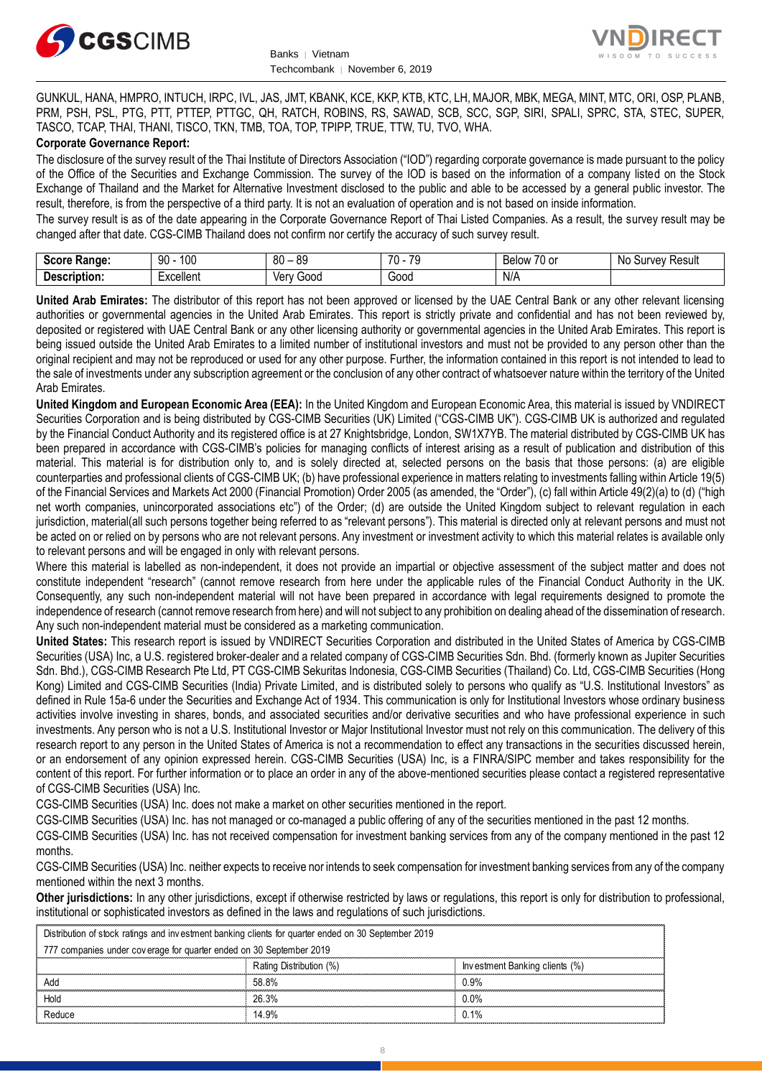



GUNKUL, HANA, HMPRO, INTUCH, IRPC, IVL, JAS, JMT, KBANK, KCE, KKP, KTB, KTC, LH, MAJOR, MBK, MEGA, MINT, MTC, ORI, OSP, PLANB, PRM, PSH, PSL, PTG, PTT, PTTEP, PTTGC, QH, RATCH, ROBINS, RS, SAWAD, SCB, SCC, SGP, SIRI, SPALI, SPRC, STA, STEC, SUPER, TASCO, TCAP, THAI, THANI, TISCO, TKN, TMB, TOA, TOP, TPIPP, TRUE, TTW, TU, TVO, WHA.

#### **Corporate Governance Report:**

The disclosure of the survey result of the Thai Institute of Directors Association ("IOD") regarding corporate governance is made pursuant to the policy of the Office of the Securities and Exchange Commission. The survey of the IOD is based on the information of a company listed on the Stock Exchange of Thailand and the Market for Alternative Investment disclosed to the public and able to be accessed by a general public investor. The result, therefore, is from the perspective of a third party. It is not an evaluation of operation and is not based on inside information.

The survey result is as of the date appearing in the Corporate Governance Report of Thai Listed Companies. As a result, the survey result may be changed after that date. CGS-CIMB Thailand does not confirm nor certify the accuracy of such survey result.

| <b>CAAPA</b><br><b>Range:</b><br>. | 100<br>۵n<br>טע<br>ĴU  | 80<br>or<br>o<br>$\overline{\phantom{a}}$ | 7٨<br>70<br>. . | $\sim$ $\sim$<br>Below<br>$\sim$<br>٠υ.<br>v | : Resul<br>N0<br>∵Urveٽ |
|------------------------------------|------------------------|-------------------------------------------|-----------------|----------------------------------------------|-------------------------|
| <b>Descrir</b><br>ription.         | Lyoolloni<br>. איוטווע | Verv<br>000ئ<br>, v,                      | 000خ            | N/A                                          |                         |

**United Arab Emirates:** The distributor of this report has not been approved or licensed by the UAE Central Bank or any other relevant licensing authorities or governmental agencies in the United Arab Emirates. This report is strictly private and confidential and has not been reviewed by, deposited or registered with UAE Central Bank or any other licensing authority or governmental agencies in the United Arab Emirates. This report is being issued outside the United Arab Emirates to a limited number of institutional investors and must not be provided to any person other than the original recipient and may not be reproduced or used for any other purpose. Further, the information contained in this report is not intended to lead to the sale of investments under any subscription agreement or the conclusion of any other contract of whatsoever nature within the territory of the United Arab Emirates.

**United Kingdom and European Economic Area (EEA):** In the United Kingdom and European Economic Area, this material is issued by VNDIRECT Securities Corporation and is being distributed by CGS-CIMB Securities (UK) Limited ("CGS-CIMB UK"). CGS-CIMB UK is authorized and regulated by the Financial Conduct Authority and its registered office is at 27 Knightsbridge, London, SW1X7YB. The material distributed by CGS-CIMB UK has been prepared in accordance with CGS-CIMB's policies for managing conflicts of interest arising as a result of publication and distribution of this material. This material is for distribution only to, and is solely directed at, selected persons on the basis that those persons: (a) are eligible counterparties and professional clients of CGS-CIMB UK; (b) have professional experience in matters relating to investments falling within Article 19(5) of the Financial Services and Markets Act 2000 (Financial Promotion) Order 2005 (as amended, the "Order"), (c) fall within Article 49(2)(a) to (d) ("high net worth companies, unincorporated associations etc") of the Order; (d) are outside the United Kingdom subject to relevant regulation in each jurisdiction, material(all such persons together being referred to as "relevant persons"). This material is directed only at relevant persons and must not be acted on or relied on by persons who are not relevant persons. Any investment or investment activity to which this material relates is available only to relevant persons and will be engaged in only with relevant persons.

Where this material is labelled as non-independent, it does not provide an impartial or objective assessment of the subject matter and does not constitute independent "research" (cannot remove research from here under the applicable rules of the Financial Conduct Authority in the UK. Consequently, any such non-independent material will not have been prepared in accordance with legal requirements designed to promote the independence of research (cannot remove research from here) and will not subject to any prohibition on dealing ahead of the dissemination of research. Any such non-independent material must be considered as a marketing communication.

**United States:** This research report is issued by VNDIRECT Securities Corporation and distributed in the United States of America by CGS-CIMB Securities (USA) Inc, a U.S. registered broker-dealer and a related company of CGS-CIMB Securities Sdn. Bhd. (formerly known as Jupiter Securities Sdn. Bhd.), CGS-CIMB Research Pte Ltd, PT CGS-CIMB Sekuritas Indonesia, CGS-CIMB Securities (Thailand) Co. Ltd, CGS-CIMB Securities (Hong Kong) Limited and CGS-CIMB Securities (India) Private Limited, and is distributed solely to persons who qualify as "U.S. Institutional Investors" as defined in Rule 15a-6 under the Securities and Exchange Act of 1934. This communication is only for Institutional Investors whose ordinary business activities involve investing in shares, bonds, and associated securities and/or derivative securities and who have professional experience in such investments. Any person who is not a U.S. Institutional Investor or Major Institutional Investor must not rely on this communication. The delivery of this research report to any person in the United States of America is not a recommendation to effect any transactions in the securities discussed herein, or an endorsement of any opinion expressed herein. CGS-CIMB Securities (USA) Inc, is a FINRA/SIPC member and takes responsibility for the content of this report. For further information or to place an order in any of the above-mentioned securities please contact a registered representative of CGS-CIMB Securities (USA) Inc.

CGS-CIMB Securities (USA) Inc. does not make a market on other securities mentioned in the report.

CGS-CIMB Securities (USA) Inc. has not managed or co-managed a public offering of any of the securities mentioned in the past 12 months.

CGS-CIMB Securities (USA) Inc. has not received compensation for investment banking services from any of the company mentioned in the past 12 months.

CGS-CIMB Securities (USA) Inc. neither expects to receive nor intends to seek compensation for investment banking services from any of the company mentioned within the next 3 months.

**Other jurisdictions:** In any other jurisdictions, except if otherwise restricted by laws or regulations, this report is only for distribution to professional, institutional or sophisticated investors as defined in the laws and regulations of such jurisdictions. entioned within the next 3 months.<br> **ther jurisdictions:** In any other jurisdictions, except if otherwise restricted by laws antitutional or sophisticated investors as defined in the laws and regulations of such ju<br>
Distri

| Other jurisdictions: In any other jurisdictions, except if otherwise restricted by laws or regulations, this report is only for distribution to<br>institutional or sophisticated investors as defined in the laws and regulations of such jurisdictions. |                         |                                |
|-----------------------------------------------------------------------------------------------------------------------------------------------------------------------------------------------------------------------------------------------------------|-------------------------|--------------------------------|
| Distribution of stock ratings and investment banking clients for quarter ended on 30 September 2019                                                                                                                                                       |                         |                                |
| 777 companies under coverage for quarter ended on 30 September 2019                                                                                                                                                                                       |                         |                                |
|                                                                                                                                                                                                                                                           | Rating Distribution (%) | Investment Banking clients (%) |
| Add                                                                                                                                                                                                                                                       | 58.8%                   | 0.9%                           |
| Hold                                                                                                                                                                                                                                                      | 26.3%                   | $0.0\%$                        |
| Reduce                                                                                                                                                                                                                                                    | 14.9%                   | 0.1%                           |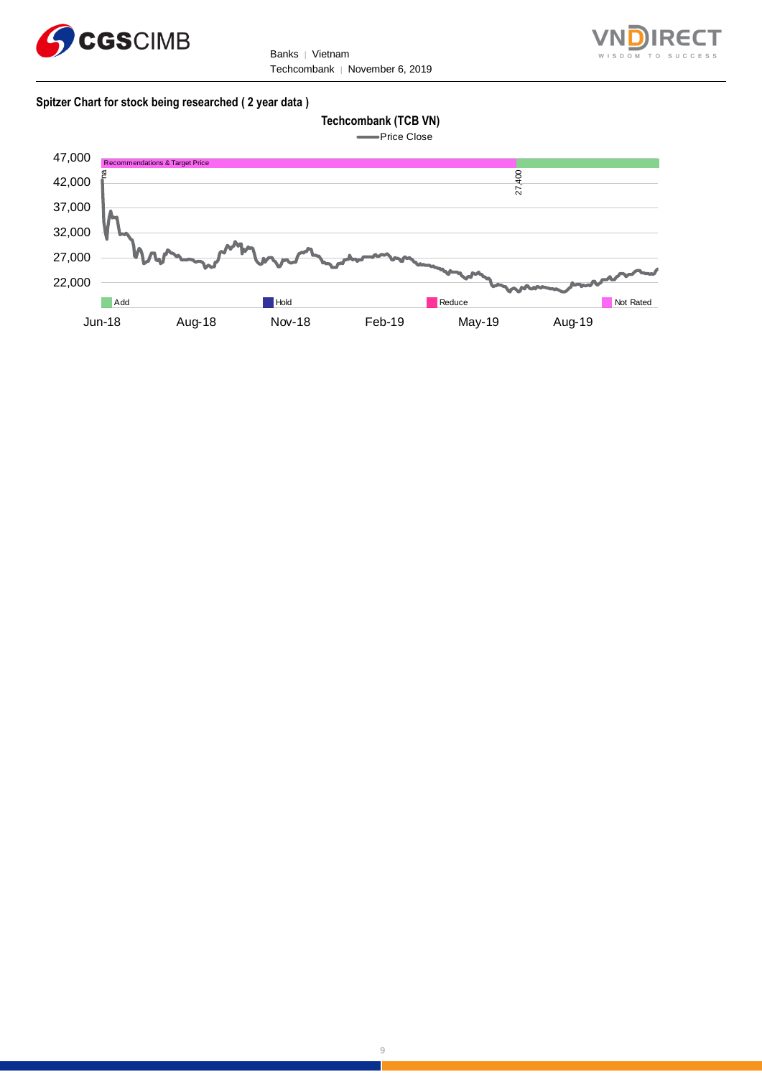

Banks | Vietnam Techcombank | November 6, 2019



#### **Spitzer Chart for stock being researched ( 2 year data )**





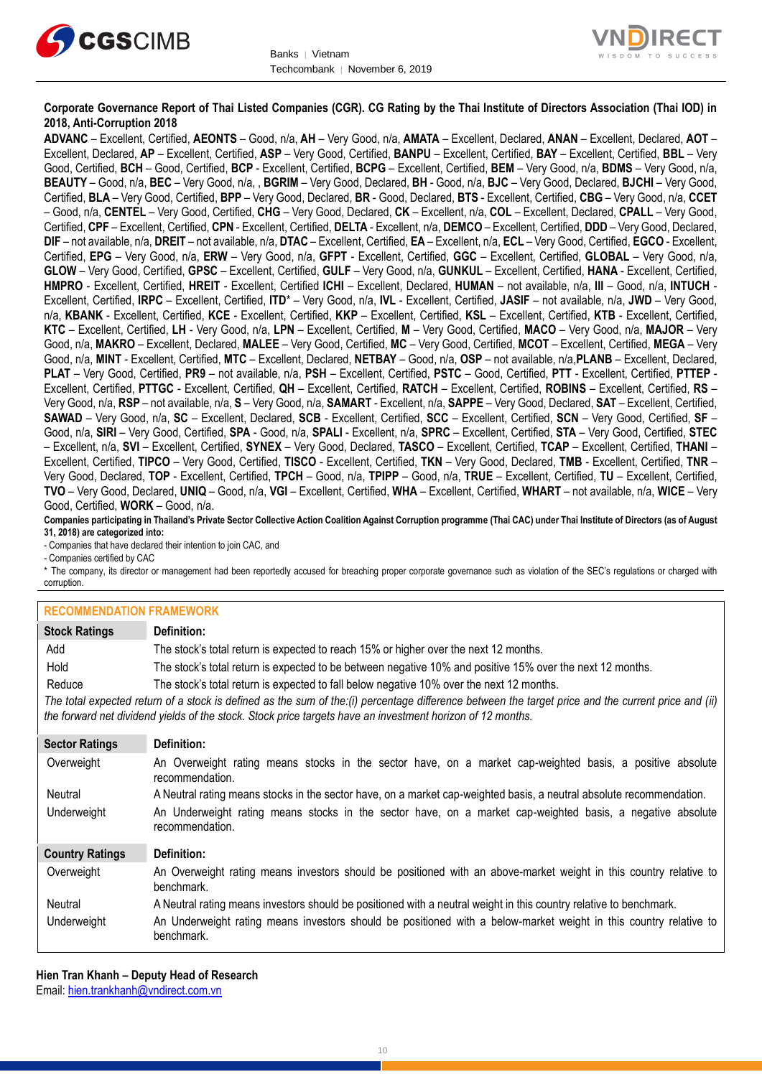



#### **Corporate Governance Report of Thai Listed Companies (CGR). CG Rating by the Thai Institute of Directors Association (Thai IOD) in 2018, Anti-Corruption 2018**

**ADVANC** – Excellent, Certified, **AEONTS** – Good, n/a, **AH** – Very Good, n/a, **AMATA** – Excellent, Declared, **ANAN** – Excellent, Declared, **AOT** – Excellent, Declared, **AP** – Excellent, Certified, **ASP** – Very Good, Certified, **BANPU** – Excellent, Certified, **BAY** – Excellent, Certified, **BBL** – Very Good, Certified, **BCH** – Good, Certified, **BCP** - Excellent, Certified, **BCPG** – Excellent, Certified, **BEM** – Very Good, n/a, **BDMS** – Very Good, n/a, **BEAUTY** – Good, n/a, **BEC** – Very Good, n/a, , **BGRIM** – Very Good, Declared, **BH** - Good, n/a, **BJC** – Very Good, Declared, **BJCHI** – Very Good, Certified, **BLA** – Very Good, Certified, **BPP** – Very Good, Declared, **BR** - Good, Declared, **BTS** - Excellent, Certified, **CBG** – Very Good, n/a, **CCET** – Good, n/a, **CENTEL** – Very Good, Certified, **CHG** – Very Good, Declared, **CK** – Excellent, n/a, **COL** – Excellent, Declared, **CPALL** – Very Good, Certified, **CPF** – Excellent, Certified, **CPN** - Excellent, Certified, **DELTA** - Excellent, n/a, **DEMCO** – Excellent, Certified, **DDD** – Very Good, Declared, **DIF** – not available, n/a, **DREIT** – not available, n/a, **DTAC** – Excellent, Certified, **EA** – Excellent, n/a, **ECL** – Very Good, Certified, **EGCO** - Excellent, Certified, **EPG** – Very Good, n/a, **ERW** – Very Good, n/a, **GFPT** - Excellent, Certified, **GGC** – Excellent, Certified, **GLOBAL** – Very Good, n/a, **GLOW** – Very Good, Certified, **GPSC** – Excellent, Certified, **GULF** – Very Good, n/a, **GUNKUL** – Excellent, Certified, **HANA** - Excellent, Certified, **HMPRO** - Excellent, Certified, **HREIT** - Excellent, Certified **ICHI** – Excellent, Declared, **HUMAN** – not available, n/a, **III** – Good, n/a, **INTUCH** - Excellent, Certified, **IRPC** – Excellent, Certified, **ITD**\* – Very Good, n/a, **IVL** - Excellent, Certified, **JASIF** – not available, n/a, **JWD** – Very Good, n/a, **KBANK** - Excellent, Certified, **KCE** - Excellent, Certified, **KKP** – Excellent, Certified, **KSL** – Excellent, Certified, **KTB** - Excellent, Certified, **KTC** – Excellent, Certified, **LH** - Very Good, n/a, **LPN** – Excellent, Certified, **M** – Very Good, Certified, **MACO** – Very Good, n/a, **MAJOR** – Very Good, n/a, **MAKRO** – Excellent, Declared, **MALEE** – Very Good, Certified, **MC** – Very Good, Certified, **MCOT** – Excellent, Certified, **MEGA** – Very Good, n/a, **MINT** - Excellent, Certified, **MTC** – Excellent, Declared, **NETBAY** – Good, n/a, **OSP** – not available, n/a,**PLANB** – Excellent, Declared, **PLAT** – Very Good, Certified, **PR9** – not available, n/a, **PSH** – Excellent, Certified, **PSTC** – Good, Certified, **PTT** - Excellent, Certified, **PTTEP** - Excellent, Certified, **PTTGC** - Excellent, Certified, **QH** – Excellent, Certified, **RATCH** – Excellent, Certified, **ROBINS** – Excellent, Certified, **RS** – Very Good, n/a, **RSP** – not available, n/a, **S** – Very Good, n/a, **SAMART** - Excellent, n/a, **SAPPE** – Very Good, Declared, **SAT** – Excellent, Certified, **SAWAD** – Very Good, n/a, **SC** – Excellent, Declared, **SCB** - Excellent, Certified, **SCC** – Excellent, Certified, **SCN** – Very Good, Certified, **SF** – Good, n/a, **SIRI** – Very Good, Certified, **SPA** - Good, n/a, **SPALI** - Excellent, n/a, **SPRC** – Excellent, Certified, **STA** – Very Good, Certified, **STEC** – Excellent, n/a, **SVI** – Excellent, Certified, **SYNEX** – Very Good, Declared, **TASCO** – Excellent, Certified, **TCAP** – Excellent, Certified, **THANI** – Excellent, Certified, **TIPCO** – Very Good, Certified, **TISCO** - Excellent, Certified, **TKN** – Very Good, Declared, **TMB** - Excellent, Certified, **TNR** – Very Good, Declared, **TOP** - Excellent, Certified, **TPCH** – Good, n/a, **TPIPP** – Good, n/a, **TRUE** – Excellent, Certified, **TU** – Excellent, Certified, **TVO** – Very Good, Declared, **UNIQ** – Good, n/a, **VGI** – Excellent, Certified, **WHA** – Excellent, Certified, **WHART** – not available, n/a, **WICE** – Very Good, Certified, **WORK** – Good, n/a.

**Companies participating in Thailand's Private Sector Collective Action Coalition Against Corruption programme (Thai CAC) under Thai Institute of Directors (as of August 31, 2018) are categorized into:**

- Companies that have declared their intention to join CAC, and

- Companies certified by CAC

\* The company, its director or management had been reportedly accused for breaching proper corporate governance such as violation of the SEC's regulations or charged with corruption.

#### **RECOMMENDATION FRAMEWORK**

| INLUUININLINDAITUIN LINAINLINUINN |                                                                                                                                                                                                                                                                   |  |
|-----------------------------------|-------------------------------------------------------------------------------------------------------------------------------------------------------------------------------------------------------------------------------------------------------------------|--|
| <b>Stock Ratings</b>              | Definition:                                                                                                                                                                                                                                                       |  |
| Add                               | The stock's total return is expected to reach 15% or higher over the next 12 months.                                                                                                                                                                              |  |
| Hold                              | The stock's total return is expected to be between negative 10% and positive 15% over the next 12 months.                                                                                                                                                         |  |
| Reduce                            | The stock's total return is expected to fall below negative 10% over the next 12 months.                                                                                                                                                                          |  |
|                                   | The total expected return of a stock is defined as the sum of the:(i) percentage difference between the target price and the current price and (ii)<br>the forward net dividend yields of the stock. Stock price targets have an investment horizon of 12 months. |  |
| <b>Sector Ratings</b>             | Definition:                                                                                                                                                                                                                                                       |  |
| Overweight                        | An Overweight rating means stocks in the sector have, on a market cap-weighted basis, a positive absolute<br>recommendation.                                                                                                                                      |  |
| Neutral                           | A Neutral rating means stocks in the sector have, on a market cap-weighted basis, a neutral absolute recommendation.                                                                                                                                              |  |
| Underweight                       | An Underweight rating means stocks in the sector have, on a market cap-weighted basis, a negative absolute<br>recommendation.                                                                                                                                     |  |
| <b>Country Ratings</b>            | Definition:                                                                                                                                                                                                                                                       |  |
| Overweight                        | An Overweight rating means investors should be positioned with an above-market weight in this country relative to<br>benchmark.                                                                                                                                   |  |
| Neutral                           | A Neutral rating means investors should be positioned with a neutral weight in this country relative to benchmark.                                                                                                                                                |  |
| Underweight                       | An Underweight rating means investors should be positioned with a below-market weight in this country relative to<br>benchmark.                                                                                                                                   |  |

**Hien Tran Khanh – Deputy Head of Research** Email: [hien.trankhanh@vndirect.com.vn](mailto:hien.trankhanh@vndirect.com.vn)